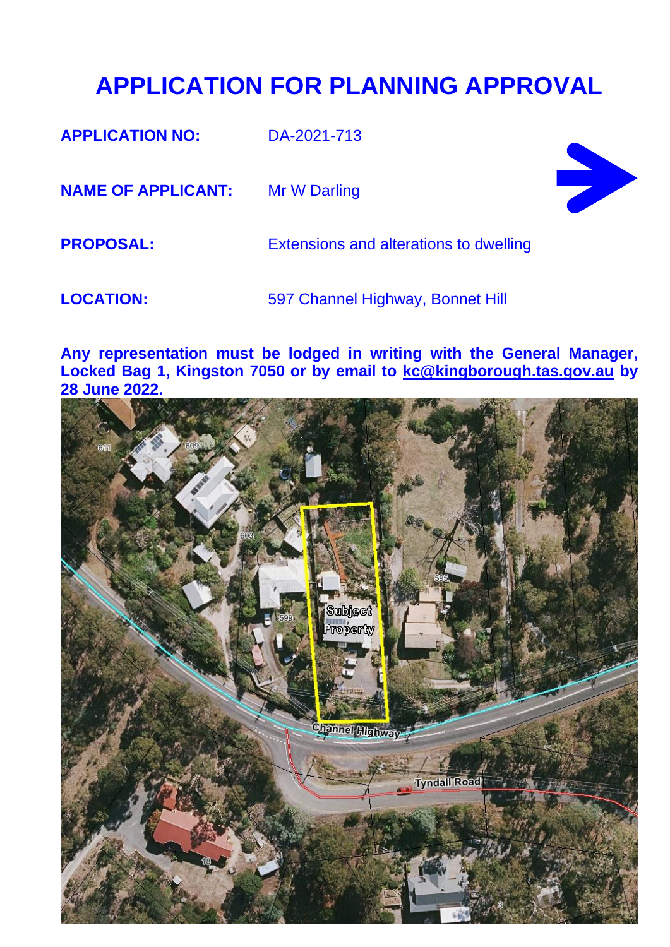#### **APPLICATION FOR PLANNING APPROVAL**

**APPLICATION NO:** DA-2021-713

**NAME OF APPLICANT:** Mr W Darling



**PROPOSAL:** Extensions and alterations to dwelling

LOCATION: 597 Channel Highway, Bonnet Hill

**Any representation must be lodged in writing with the General Manager, Locked Bag 1, Kingston 7050 or by email to [kc@kingborough.tas.gov.au](mailto:kc@kingborough.tas.gov.au) by 28 June 2022.**

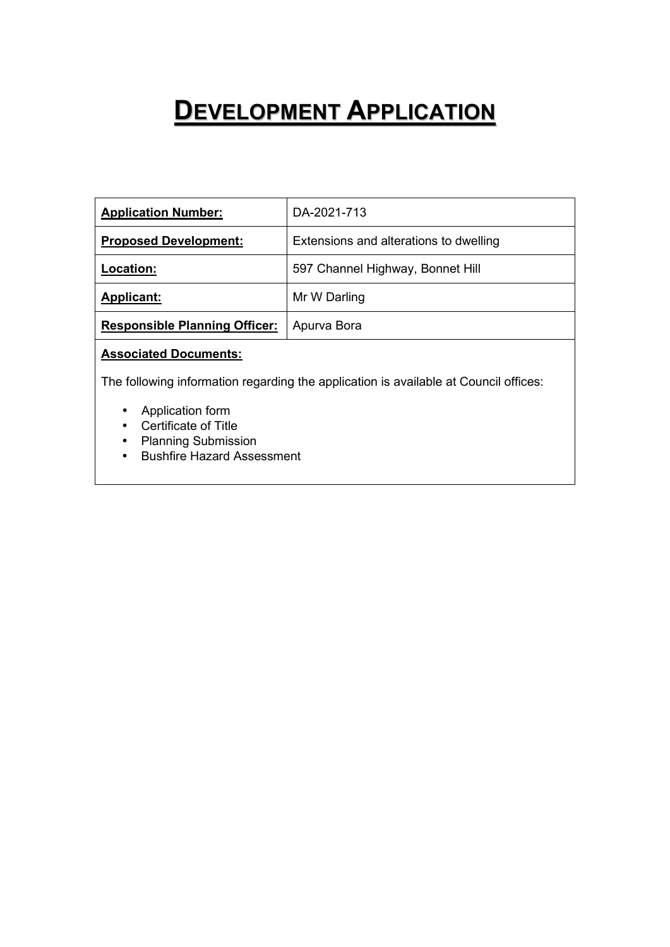### **DEVELOPMENT APPLICATION**

| <b>Application Number:</b>           | DA-2021-713                            |
|--------------------------------------|----------------------------------------|
| <b>Proposed Development:</b>         | Extensions and alterations to dwelling |
| Location:                            | 597 Channel Highway, Bonnet Hill       |
| <b>Applicant:</b>                    | Mr W Darling                           |
| <b>Responsible Planning Officer:</b> | Apurva Bora                            |

#### **Associated Documents:**

The following information regarding the application is available at Council offices:

- Application form
- Certificate of Title
- Planning Submission
- Bushfire Hazard Assessment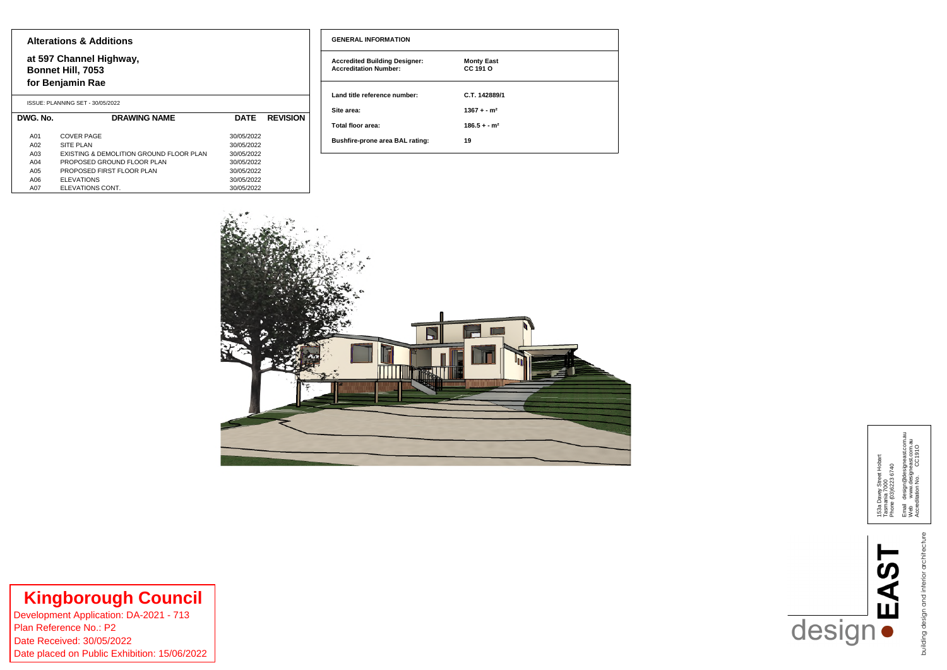| <b>GENERAL INFORMATION</b>                                           |                               |
|----------------------------------------------------------------------|-------------------------------|
| <b>Accredited Building Designer:</b><br><b>Accreditation Number:</b> | <b>Monty East</b><br>CC 191 O |
| Land title reference number:                                         | C.T. 142889/1                 |
| Site area:                                                           | $1367 + -m^2$                 |
| <b>Total floor area:</b>                                             | $186.5 + -m^2$                |
| <b>Bushfire-prone area BAL rating:</b>                               | 19                            |



**Kingborough Council**<br>Development Application: DA-2021 - 713<br>Plan Reference No.: P2<br>Date Received: 30/05/2022<br>Date placed on Public Exhibition: 15/06/2022

# **UNITY OF STRASH**

153a Davey Street Hobart<br>Tasmania 7000<br>Phone (03)6223 6740 153a Davey Street Hobart Phone (03)6223 6740 Tasmania 7000

Email design@designeast.com.au w.designeast.com.au  $910$ Accreditation No. CC191O wEmail<br>Neb

> building design and interior architecture building design and interior architecture

#### **Alterations & Additions**

**at 597 Channel Highway, Bonnet Hill, 7053**

#### **for Benjamin Rae**

|          | ISSUE: PLANNING SET - 30/05/2022        |             |                 |
|----------|-----------------------------------------|-------------|-----------------|
| DWG. No. | <b>DRAWING NAME</b>                     | <b>DATE</b> | <b>REVISION</b> |
|          |                                         |             |                 |
| A01      | <b>COVER PAGE</b>                       | 30/05/2022  |                 |
| A02      | <b>SITE PLAN</b>                        | 30/05/2022  |                 |
| A03      | EXISTING & DEMOLITION GROUND FLOOR PLAN | 30/05/2022  |                 |
| A04      | PROPOSED GROUND FLOOR PLAN              | 30/05/2022  |                 |
| A05      | PROPOSED FIRST FLOOR PLAN               | 30/05/2022  |                 |
| A06      | <b>ELEVATIONS</b>                       | 30/05/2022  |                 |
| A07      | ELEVATIONS CONT.                        | 30/05/2022  |                 |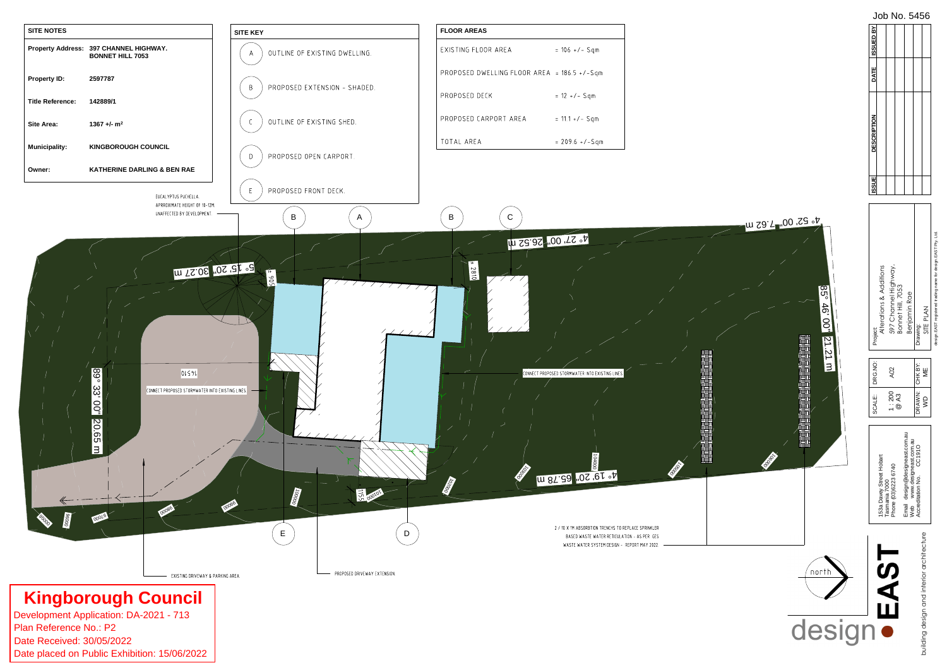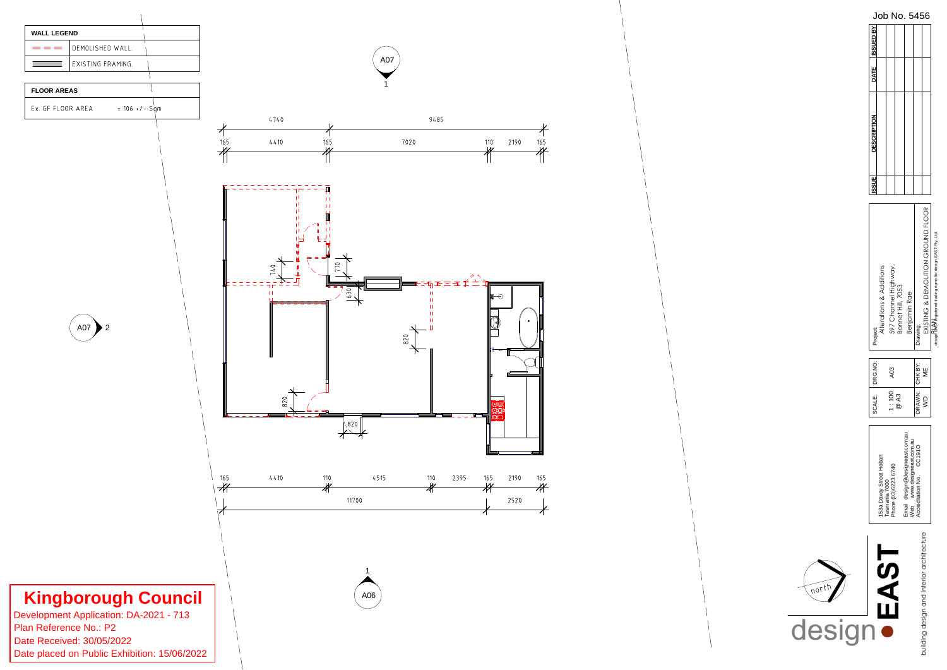

|                                          |                                                             | SCALE:        | RG.NO:         | Project:                                                        | <b>ISSUE</b> | <b>DESCRIPTION</b> | DATE ISSUED BY |  |
|------------------------------------------|-------------------------------------------------------------|---------------|----------------|-----------------------------------------------------------------|--------------|--------------------|----------------|--|
| トてく                                      | 53a Davey Street Hobart                                     |               |                | <b>Alterations &amp; Additions</b>                              |              |                    |                |  |
| J<br>(                                   | Phone (03)6223 6740<br>Tasmania 7000                        | $\frac{8}{1}$ | A03            | 597 Channel Highway,                                            |              |                    |                |  |
|                                          |                                                             | @A3           |                | Bonnet Hill, 7053                                               |              |                    |                |  |
|                                          | Email design@designeast.com.au<br>Web www.designeast.com.au |               |                | Benjamin Rae                                                    |              |                    |                |  |
|                                          | Accreditation No. CC191O                                    |               | DRAWN: CHK BY: | Drawing:                                                        |              |                    |                |  |
| uilding design and interior architecture |                                                             | $\frac{1}{2}$ | ₩              | EXISTING & DEMOLITION GROUND FLOOR                              |              |                    |                |  |
|                                          |                                                             |               |                | design: EAST registered trading name for design. EAST Pty. Ltd. |              |                    |                |  |

Job No. 5456

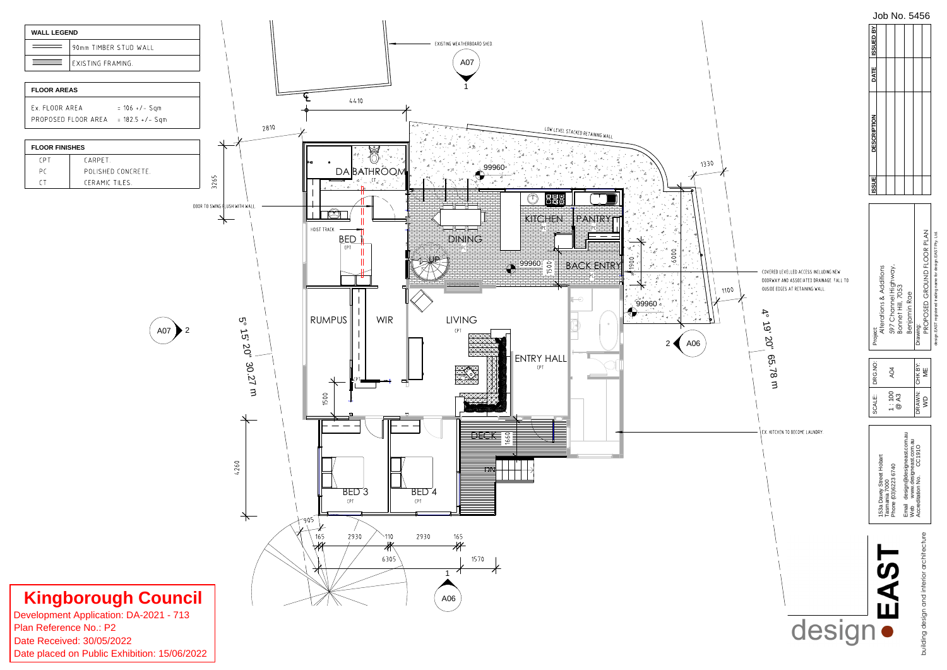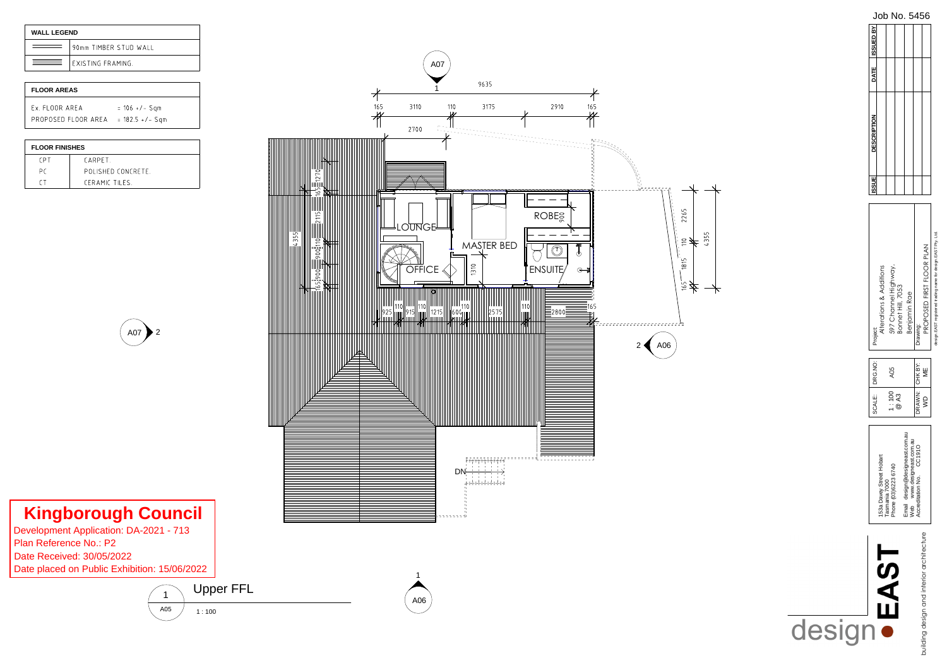

![](_page_6_Picture_5.jpeg)

**Kingborough Council**<br>Development Application: DA-2021 - 713<br>Plan Reference No.: P2<br>Date Received: 30/05/2022<br>Date placed on Public Exhibition: 15/06/2022

![](_page_6_Figure_8.jpeg)

![](_page_6_Picture_3.jpeg)

| <b>WALL LEGEND</b> |                         |
|--------------------|-------------------------|
|                    | 90mm TIMBER STUD WALL   |
|                    | <b>FXISTING FRAMING</b> |

| <b>FLOOR AREAS</b>  |                   |
|---------------------|-------------------|
| Ex FLOOR AREA       | $= 106$ +/- Sqm   |
| PROPOSED ELOOR AREA | $= 182.5 +/-$ Sqm |

| <b>FLOOR FINISHES</b> |                   |
|-----------------------|-------------------|
| <b>CPT</b>            | <b>CARPFT</b>     |
| Рſ                    | POLISHED CONCRETE |
| ΓT                    | CERAMIC TILES     |

#### $A05$   $1:100$ Upper FFL

|                                           |                                                             | SCALE:          | <b>RG.NO:</b> | Project:                                                  | <b>ISSUE</b> | <b>DESCRIPTION</b> | DATE ISSUED BY |
|-------------------------------------------|-------------------------------------------------------------|-----------------|---------------|-----------------------------------------------------------|--------------|--------------------|----------------|
| トてく                                       | 153a Davey Street Hobart                                    |                 |               | <b>Iterations &amp; Additions</b>                         |              |                    |                |
|                                           | Phone (03)6223 6740<br>Tasmania 7000                        | $\frac{100}{1}$ | AO5           | 597 Channel Highway,                                      |              |                    |                |
|                                           |                                                             | @A3             |               | Bonnet Hill, 7053                                         |              |                    |                |
|                                           | Email design@designeast.com.au<br>Web www.designeast.com.au |                 |               | Benjamin Rae                                              |              |                    |                |
|                                           | Accreditation No. CC191O                                    | DRAWN:          | CHK BY:       | Drawing:                                                  |              |                    |                |
| building design and interior architecture |                                                             | $\frac{1}{2}$   | ₩             | PROPOSED FIRST FLOOR PLAN                                 |              |                    |                |
|                                           |                                                             |                 |               | コメニュメロ トロベロ うちにくすう きょうしょう うちゅう きょうてき フィス・フィス・フィス トロベロ うちの |              |                    |                |

design.EAST registered trading name for design.EAST Pty. Ltd.

Job No. 5456

## design •

1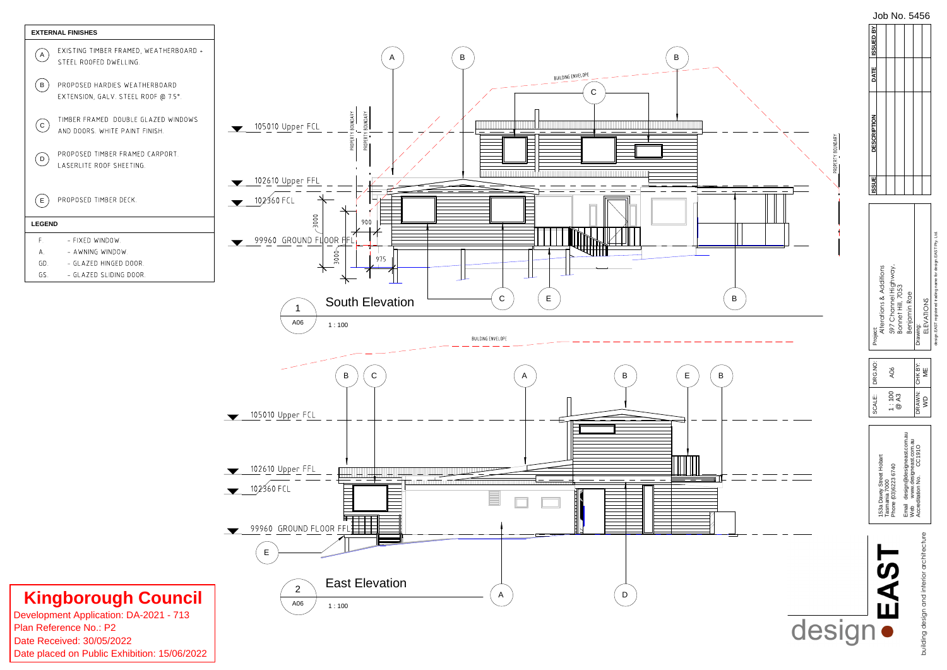![](_page_7_Figure_0.jpeg)